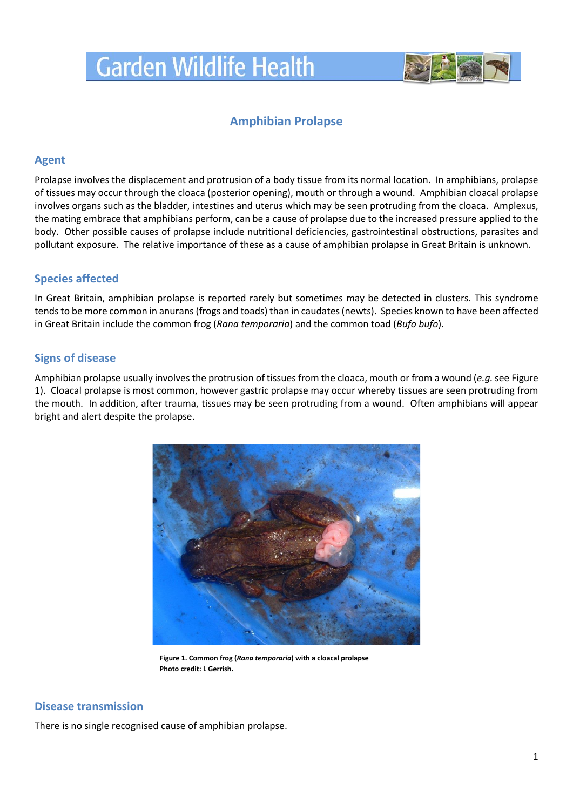

# **Amphibian Prolapse**

## **Agent**

Prolapse involves the displacement and protrusion of a body tissue from its normal location. In amphibians, prolapse of tissues may occur through the cloaca (posterior opening), mouth or through a wound. Amphibian cloacal prolapse involves organs such as the bladder, intestines and uterus which may be seen protruding from the cloaca. Amplexus, the mating embrace that amphibians perform, can be a cause of prolapse due to the increased pressure applied to the body. Other possible causes of prolapse include nutritional deficiencies, gastrointestinal obstructions, parasites and pollutant exposure. The relative importance of these as a cause of amphibian prolapse in Great Britain is unknown.

# **Species affected**

In Great Britain, amphibian prolapse is reported rarely but sometimes may be detected in clusters. This syndrome tends to be more common in anurans (frogs and toads) than in caudates (newts). Species known to have been affected in Great Britain include the common frog (*Rana temporaria*) and the common toad (*Bufo bufo*).

# **Signs of disease**

Amphibian prolapse usually involves the protrusion of tissues from the cloaca, mouth or from a wound (*e.g.*see Figure 1). Cloacal prolapse is most common, however gastric prolapse may occur whereby tissues are seen protruding from the mouth. In addition, after trauma, tissues may be seen protruding from a wound. Often amphibians will appear bright and alert despite the prolapse.



**Figure 1. Common frog (***Rana temporaria***) with a cloacal prolapse Photo credit: L Gerrish.**

# **Disease transmission**

There is no single recognised cause of amphibian prolapse.